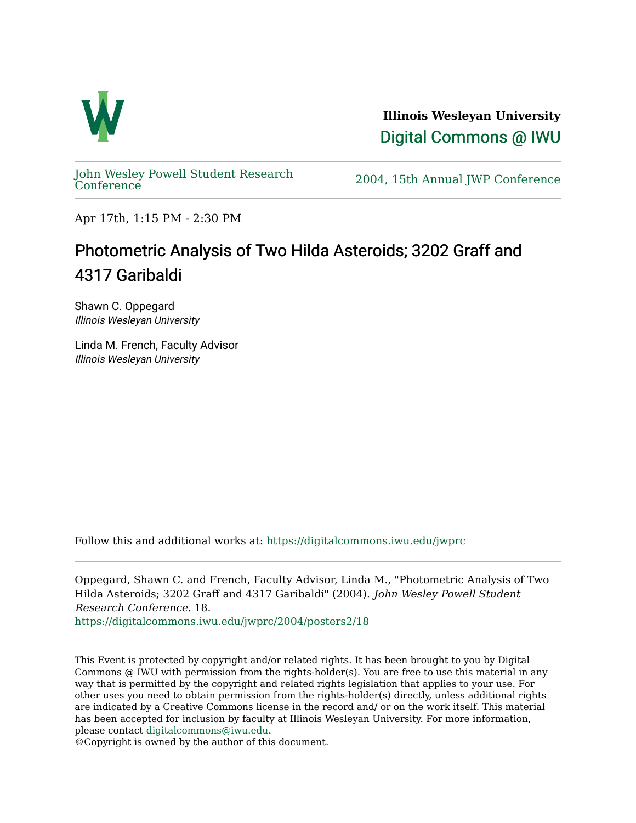

**Illinois Wesleyan University**  [Digital Commons @ IWU](https://digitalcommons.iwu.edu/) 

[John Wesley Powell Student Research](https://digitalcommons.iwu.edu/jwprc) 

2004, 15th Annual JWP [Conference](https://digitalcommons.iwu.edu/jwprc)

Apr 17th, 1:15 PM - 2:30 PM

## Photometric Analysis of Two Hilda Asteroids; 3202 Graff and 4317 Garibaldi

Shawn C. Oppegard Illinois Wesleyan University

Linda M. French, Faculty Advisor Illinois Wesleyan University

Follow this and additional works at: [https://digitalcommons.iwu.edu/jwprc](https://digitalcommons.iwu.edu/jwprc?utm_source=digitalcommons.iwu.edu%2Fjwprc%2F2004%2Fposters2%2F18&utm_medium=PDF&utm_campaign=PDFCoverPages) 

Oppegard, Shawn C. and French, Faculty Advisor, Linda M., "Photometric Analysis of Two Hilda Asteroids; 3202 Graff and 4317 Garibaldi" (2004). John Wesley Powell Student Research Conference. 18.

[https://digitalcommons.iwu.edu/jwprc/2004/posters2/18](https://digitalcommons.iwu.edu/jwprc/2004/posters2/18?utm_source=digitalcommons.iwu.edu%2Fjwprc%2F2004%2Fposters2%2F18&utm_medium=PDF&utm_campaign=PDFCoverPages) 

This Event is protected by copyright and/or related rights. It has been brought to you by Digital Commons @ IWU with permission from the rights-holder(s). You are free to use this material in any way that is permitted by the copyright and related rights legislation that applies to your use. For other uses you need to obtain permission from the rights-holder(s) directly, unless additional rights are indicated by a Creative Commons license in the record and/ or on the work itself. This material has been accepted for inclusion by faculty at Illinois Wesleyan University. For more information, please contact [digitalcommons@iwu.edu.](mailto:digitalcommons@iwu.edu)

©Copyright is owned by the author of this document.